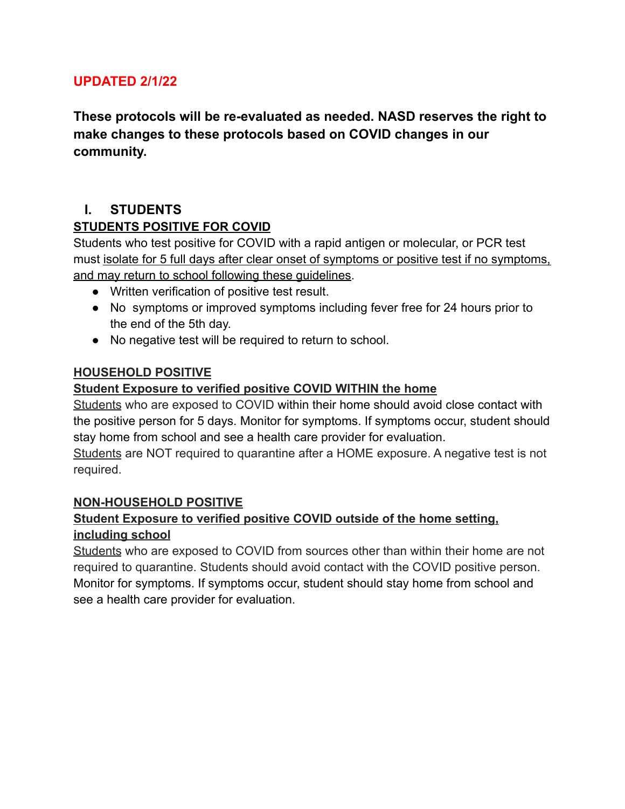#### **UPDATED 2/1/22**

**These protocols will be re-evaluated as needed. NASD reserves the right to make changes to these protocols based on COVID changes in our community.**

#### **I. STUDENTS**

#### **STUDENTS POSITIVE FOR COVID**

Students who test positive for COVID with a rapid antigen or molecular, or PCR test must isolate for 5 full days after clear onset of symptoms or positive test if no symptoms, and may return to school following these guidelines.

- Written verification of positive test result.
- No symptoms or improved symptoms including fever free for 24 hours prior to the end of the 5th day.
- No negative test will be required to return to school.

#### **HOUSEHOLD POSITIVE**

#### **Student Exposure to verified positive COVID WITHIN the home**

Students who are exposed to COVID within their home should avoid close contact with the positive person for 5 days. Monitor for symptoms. If symptoms occur, student should stay home from school and see a health care provider for evaluation.

Students are NOT required to quarantine after a HOME exposure. A negative test is not required.

#### **NON-HOUSEHOLD POSITIVE**

#### **Student Exposure to verified positive COVID outside of the home setting, including school**

Students who are exposed to COVID from sources other than within their home are not required to quarantine. Students should avoid contact with the COVID positive person. Monitor for symptoms. If symptoms occur, student should stay home from school and see a health care provider for evaluation.